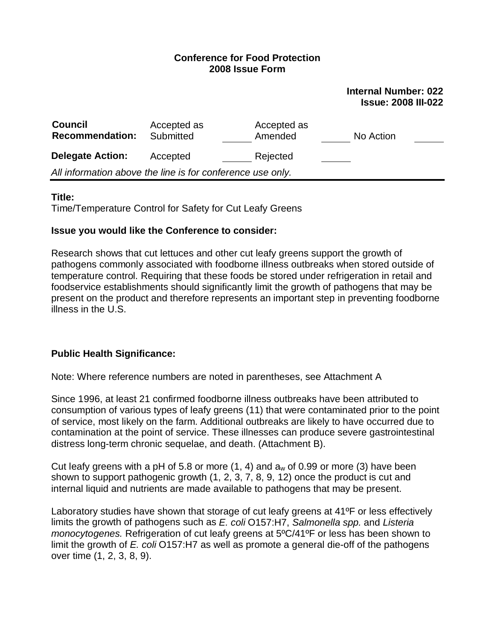## **Conference for Food Protection 2008 Issue Form**

| <b>Council</b><br><b>Recommendation:</b>                   | Accepted as<br>Submitted | Accepted as<br>Amended | No Action |  |  |
|------------------------------------------------------------|--------------------------|------------------------|-----------|--|--|
| <b>Delegate Action:</b>                                    | Accepted                 | Rejected               |           |  |  |
| All information above the line is for conference use only. |                          |                        |           |  |  |

## **Title:**

Time/Temperature Control for Safety for Cut Leafy Greens

## **Issue you would like the Conference to consider:**

Research shows that cut lettuces and other cut leafy greens support the growth of pathogens commonly associated with foodborne illness outbreaks when stored outside of temperature control. Requiring that these foods be stored under refrigeration in retail and foodservice establishments should significantly limit the growth of pathogens that may be present on the product and therefore represents an important step in preventing foodborne illness in the U.S.

## **Public Health Significance:**

Note: Where reference numbers are noted in parentheses, see Attachment A

Since 1996, at least 21 confirmed foodborne illness outbreaks have been attributed to consumption of various types of leafy greens (11) that were contaminated prior to the point of service, most likely on the farm. Additional outbreaks are likely to have occurred due to contamination at the point of service. These illnesses can produce severe gastrointestinal distress long-term chronic sequelae, and death. (Attachment B).

Cut leafy greens with a pH of 5.8 or more  $(1, 4)$  and  $a<sub>w</sub>$  of 0.99 or more  $(3)$  have been shown to support pathogenic growth (1, 2, 3, 7, 8, 9, 12) once the product is cut and internal liquid and nutrients are made available to pathogens that may be present.

Laboratory studies have shown that storage of cut leafy greens at 41ºF or less effectively limits the growth of pathogens such as *E. coli* O157:H7, *Salmonella spp.* and *Listeria monocytogenes.* Refrigeration of cut leafy greens at 5ºC/41ºF or less has been shown to limit the growth of *E. coli* O157:H7 as well as promote a general die-off of the pathogens over time (1, 2, 3, 8, 9).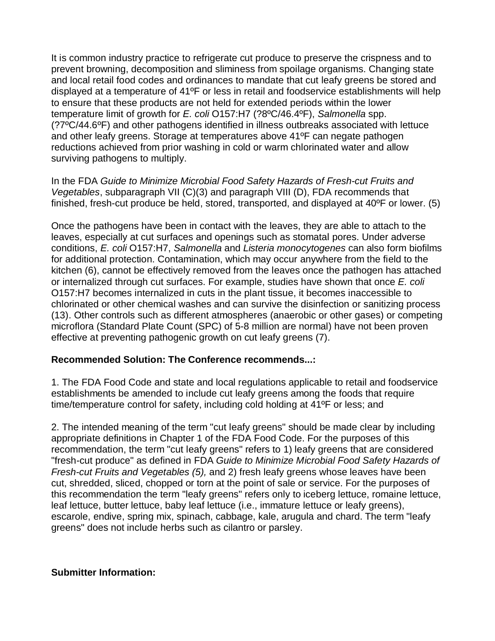It is common industry practice to refrigerate cut produce to preserve the crispness and to prevent browning, decomposition and sliminess from spoilage organisms. Changing state and local retail food codes and ordinances to mandate that cut leafy greens be stored and displayed at a temperature of 41ºF or less in retail and foodservice establishments will help to ensure that these products are not held for extended periods within the lower temperature limit of growth for *E. coli* O157:H7 (?8ºC/46.4ºF), *Salmonella* spp. (?7ºC/44.6ºF) and other pathogens identified in illness outbreaks associated with lettuce and other leafy greens. Storage at temperatures above 41ºF can negate pathogen reductions achieved from prior washing in cold or warm chlorinated water and allow surviving pathogens to multiply.

In the FDA *Guide to Minimize Microbial Food Safety Hazards of Fresh-cut Fruits and Vegetables*, subparagraph VII (C)(3) and paragraph VIII (D), FDA recommends that finished, fresh-cut produce be held, stored, transported, and displayed at 40ºF or lower. (5)

Once the pathogens have been in contact with the leaves, they are able to attach to the leaves, especially at cut surfaces and openings such as stomatal pores. Under adverse conditions, *E. coli* O157:H7, *Salmonella* and *Listeria monocytogenes* can also form biofilms for additional protection. Contamination, which may occur anywhere from the field to the kitchen (6), cannot be effectively removed from the leaves once the pathogen has attached or internalized through cut surfaces. For example, studies have shown that once *E. coli* O157:H7 becomes internalized in cuts in the plant tissue, it becomes inaccessible to chlorinated or other chemical washes and can survive the disinfection or sanitizing process (13). Other controls such as different atmospheres (anaerobic or other gases) or competing microflora (Standard Plate Count (SPC) of 5-8 million are normal) have not been proven effective at preventing pathogenic growth on cut leafy greens (7).

## **Recommended Solution: The Conference recommends...:**

1. The FDA Food Code and state and local regulations applicable to retail and foodservice establishments be amended to include cut leafy greens among the foods that require time/temperature control for safety, including cold holding at 41ºF or less; and

2. The intended meaning of the term "cut leafy greens" should be made clear by including appropriate definitions in Chapter 1 of the FDA Food Code. For the purposes of this recommendation, the term "cut leafy greens" refers to 1) leafy greens that are considered "fresh-cut produce" as defined in FDA *Guide to Minimize Microbial Food Safety Hazards of Fresh-cut Fruits and Vegetables (5),* and 2) fresh leafy greens whose leaves have been cut, shredded, sliced, chopped or torn at the point of sale or service. For the purposes of this recommendation the term "leafy greens" refers only to iceberg lettuce, romaine lettuce, leaf lettuce, butter lettuce, baby leaf lettuce (i.e., immature lettuce or leafy greens), escarole, endive, spring mix, spinach, cabbage, kale, arugula and chard. The term "leafy greens" does not include herbs such as cilantro or parsley.

## **Submitter Information:**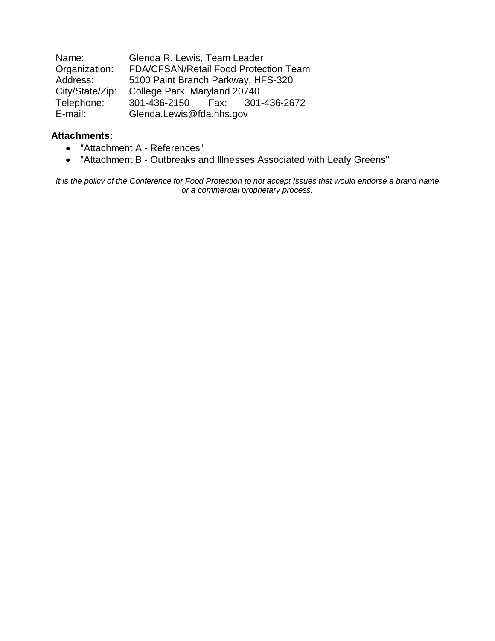| Name:           | Glenda R. Lewis, Team Leader       |                                       |
|-----------------|------------------------------------|---------------------------------------|
| Organization:   |                                    | FDA/CFSAN/Retail Food Protection Team |
| Address:        | 5100 Paint Branch Parkway, HFS-320 |                                       |
| City/State/Zip: | College Park, Maryland 20740       |                                       |
| Telephone:      | 301-436-2150    Fax: 301-436-2672  |                                       |
| E-mail:         | Glenda.Lewis@fda.hhs.gov           |                                       |

## **Attachments:**

- "Attachment A References"
- "Attachment B Outbreaks and Illnesses Associated with Leafy Greens"

*It is the policy of the Conference for Food Protection to not accept Issues that would endorse a brand name or a commercial proprietary process.*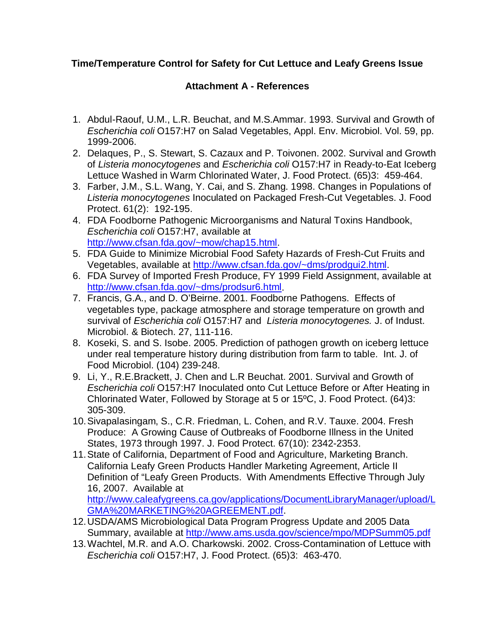# **Time/Temperature Control for Safety for Cut Lettuce and Leafy Greens Issue**

## **Attachment A - References**

- 1. Abdul-Raouf, U.M., L.R. Beuchat, and M.S.Ammar. 1993. Survival and Growth of *Escherichia coli* O157:H7 on Salad Vegetables, Appl. Env. Microbiol. Vol. 59, pp. 1999-2006.
- 2. Delaques, P., S. Stewart, S. Cazaux and P. Toivonen. 2002. Survival and Growth of *Listeria monocytogenes* and *Escherichia coli* O157:H7 in Ready-to-Eat Iceberg Lettuce Washed in Warm Chlorinated Water, J. Food Protect. (65)3: 459-464.
- 3. Farber, J.M., S.L. Wang, Y. Cai, and S. Zhang. 1998. Changes in Populations of *Listeria monocytogenes* Inoculated on Packaged Fresh-Cut Vegetables. J. Food Protect. 61(2): 192-195.
- 4. FDA Foodborne Pathogenic Microorganisms and Natural Toxins Handbook, *Escherichia coli* O157:H7, available at http://www.cfsan.fda.gov/~mow/chap15.html.
- 5. FDA Guide to Minimize Microbial Food Safety Hazards of Fresh-Cut Fruits and Vegetables, available at http://www.cfsan.fda.gov/~dms/prodgui2.html.
- 6. FDA Survey of Imported Fresh Produce, FY 1999 Field Assignment, available at http://www.cfsan.fda.gov/~dms/prodsur6.html.
- 7. Francis, G.A., and D. O'Beirne. 2001. Foodborne Pathogens. Effects of vegetables type, package atmosphere and storage temperature on growth and survival of *Escherichia coli* O157:H7 and *Listeria monocytogenes.* J. of Indust. Microbiol. & Biotech. 27, 111-116.
- 8. Koseki, S. and S. Isobe. 2005. Prediction of pathogen growth on iceberg lettuce under real temperature history during distribution from farm to table. Int. J. of Food Microbiol. (104) 239-248.
- 9. Li, Y., R.E.Brackett, J. Chen and L.R Beuchat. 2001. Survival and Growth of *Escherichia coli* O157:H7 Inoculated onto Cut Lettuce Before or After Heating in Chlorinated Water, Followed by Storage at 5 or 15ºC, J. Food Protect. (64)3: 305-309.
- 10.Sivapalasingam, S., C.R. Friedman, L. Cohen, and R.V. Tauxe. 2004. Fresh Produce: A Growing Cause of Outbreaks of Foodborne Illness in the United States, 1973 through 1997. J. Food Protect. 67(10): 2342-2353.
- 11.State of California, Department of Food and Agriculture, Marketing Branch. California Leafy Green Products Handler Marketing Agreement, Article II Definition of "Leafy Green Products. With Amendments Effective Through July 16, 2007. Available at http://www.caleafygreens.ca.gov/applications/DocumentLibraryManager/upload/L

GMA%20MARKETING%20AGREEMENT.pdf.

- 12.USDA/AMS Microbiological Data Program Progress Update and 2005 Data Summary, available at http://www.ams.usda.gov/science/mpo/MDPSumm05.pdf
- 13.Wachtel, M.R. and A.O. Charkowski. 2002. Cross-Contamination of Lettuce with *Escherichia coli* O157:H7, J. Food Protect. (65)3: 463-470.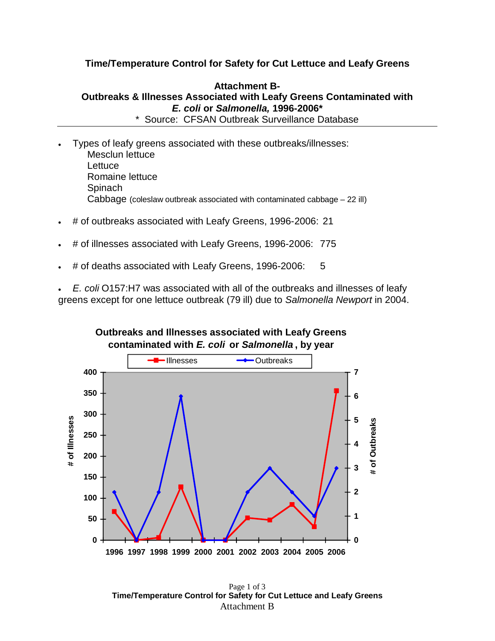## **Time/Temperature Control for Safety for Cut Lettuce and Leafy Greens**

## **Attachment B-Outbreaks & Illnesses Associated with Leafy Greens Contaminated with** *E. coli* **or** *Salmonella,* **1996-2006\***

\* Source: CFSAN Outbreak Surveillance Database

- Types of leafy greens associated with these outbreaks/illnesses: Mesclun lettuce **Lettuce** Romaine lettuce Spinach Cabbage (coleslaw outbreak associated with contaminated cabbage – 22 ill)
- # of outbreaks associated with Leafy Greens, 1996-2006: 21
- # of illnesses associated with Leafy Greens, 1996-2006: 775
- # of deaths associated with Leafy Greens, 1996-2006: 5
- *E. coli* O157:H7 was associated with all of the outbreaks and illnesses of leafy greens except for one lettuce outbreak (79 ill) due to *Salmonella Newport* in 2004.



Page 1 of 3 **Time/Temperature Control for Safety for Cut Lettuce and Leafy Greens** Attachment B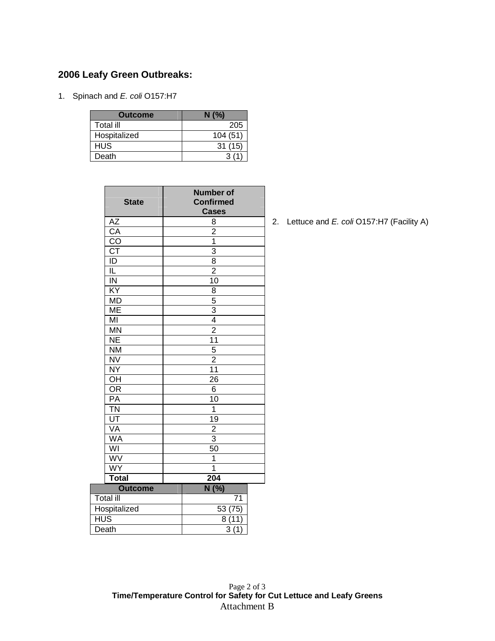# **2006 Leafy Green Outbreaks:**

1. Spinach and *E. coli* O157:H7

| <b>Outcome</b> | N(%)    |
|----------------|---------|
| Total ill      | 205     |
| Hospitalized   | 104(51) |
| <b>HUS</b>     | 31(15)  |
| Death          |         |

| <b>State</b>                       | <b>Number of</b><br><b>Confirmed</b><br><b>Cases</b> |  |  |
|------------------------------------|------------------------------------------------------|--|--|
| <b>AZ</b>                          | 8                                                    |  |  |
| CA                                 | $\overline{2}$                                       |  |  |
| $\overline{C}$                     | $\overline{1}$                                       |  |  |
| $\overline{\text{CT}}$             | 3                                                    |  |  |
| $\overline{ID}$                    | $\overline{\mathbf{8}}$                              |  |  |
| $\overline{\mathsf{L}}$            | $\overline{2}$                                       |  |  |
| $\overline{\mathsf{IN}}$           | 10                                                   |  |  |
| KY                                 | 8                                                    |  |  |
| <b>MD</b>                          | $\overline{5}$                                       |  |  |
| ME                                 | $\overline{3}$                                       |  |  |
| MI                                 | $\overline{4}$                                       |  |  |
| <b>MN</b>                          | $\overline{2}$                                       |  |  |
| <b>NE</b>                          | 11                                                   |  |  |
| $\overline{\text{NM}}$             | $\overline{5}$                                       |  |  |
| <b>NV</b>                          | $\overline{2}$                                       |  |  |
| <b>NY</b>                          | 11                                                   |  |  |
| OH                                 | 26                                                   |  |  |
| $\overline{\text{OR}}$             | 6                                                    |  |  |
| $\overline{PA}$                    | $\overline{10}$                                      |  |  |
| $\overline{\mathsf{T}}\mathsf{N}$  | $\overline{1}$                                       |  |  |
| $\overline{\mathsf{UT}}$           | $\overline{19}$                                      |  |  |
| VA                                 | $\overline{2}$                                       |  |  |
| <b>WA</b>                          | $\overline{3}$                                       |  |  |
| WI                                 | $\overline{50}$                                      |  |  |
| WV                                 | $\mathbf{1}$                                         |  |  |
| <b>WY</b>                          | 1                                                    |  |  |
| <b>Total</b>                       | $\overline{204}$                                     |  |  |
| <b>Outcome</b><br><b>Total ill</b> | N(%)                                                 |  |  |
|                                    | 71                                                   |  |  |
| Hospitalized                       | 53 (75)                                              |  |  |
| $\overline{\text{HUS}}$            | 8(11)                                                |  |  |
| Death                              | 3(1)                                                 |  |  |

2. Lettuce and *E. coli* O157:H7 (Facility A)